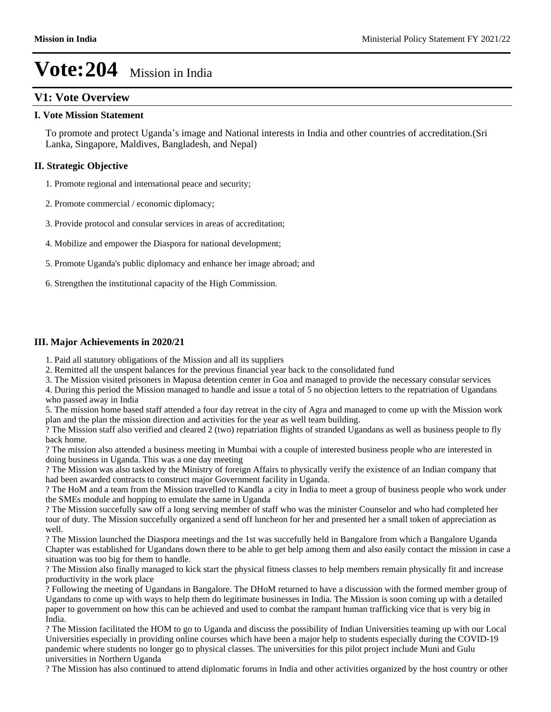# **V1: Vote Overview**

### **I. Vote Mission Statement**

To promote and protect Uganda's image and National interests in India and other countries of accreditation.(Sri Lanka, Singapore, Maldives, Bangladesh, and Nepal)

### **II. Strategic Objective**

1. Promote regional and international peace and security;

- 2. Promote commercial / economic diplomacy;
- 3. Provide protocol and consular services in areas of accreditation;
- 4. Mobilize and empower the Diaspora for national development;
- 5. Promote Uganda's public diplomacy and enhance her image abroad; and
- 6. Strengthen the institutional capacity of the High Commission.

### **III. Major Achievements in 2020/21**

- 1. Paid all statutory obligations of the Mission and all its suppliers
- 2. Remitted all the unspent balances for the previous financial year back to the consolidated fund
- 3. The Mission visited prisoners in Mapusa detention center in Goa and managed to provide the necessary consular services

4. During this period the Mission managed to handle and issue a total of 5 no objection letters to the repatriation of Ugandans who passed away in India

5. The mission home based staff attended a four day retreat in the city of Agra and managed to come up with the Mission work plan and the plan the mission direction and activities for the year as well team building.

? The Mission staff also verified and cleared 2 (two) repatriation flights of stranded Ugandans as well as business people to fly back home.

? The mission also attended a business meeting in Mumbai with a couple of interested business people who are interested in doing business in Uganda. This was a one day meeting

? The Mission was also tasked by the Ministry of foreign Affairs to physically verify the existence of an Indian company that had been awarded contracts to construct major Government facility in Uganda.

? The HoM and a team from the Mission travelled to Kandla a city in India to meet a group of business people who work under the SMEs module and hopping to emulate the same in Uganda

? The Mission succefully saw off a long serving member of staff who was the minister Counselor and who had completed her tour of duty. The Mission succefully organized a send off luncheon for her and presented her a small token of appreciation as well.

? The Mission launched the Diaspora meetings and the 1st was succefully held in Bangalore from which a Bangalore Uganda Chapter was established for Ugandans down there to be able to get help among them and also easily contact the mission in case a situation was too big for them to handle.

? The Mission also finally managed to kick start the physical fitness classes to help members remain physically fit and increase productivity in the work place

? Following the meeting of Ugandans in Bangalore. The DHoM returned to have a discussion with the formed member group of Ugandans to come up with ways to help them do legitimate businesses in India. The Mission is soon coming up with a detailed paper to government on how this can be achieved and used to combat the rampant human trafficking vice that is very big in India.

? The Mission facilitated the HOM to go to Uganda and discuss the possibility of Indian Universities teaming up with our Local Universities especially in providing online courses which have been a major help to students especially during the COVID-19 pandemic where students no longer go to physical classes. The universities for this pilot project include Muni and Gulu universities in Northern Uganda

? The Mission has also continued to attend diplomatic forums in India and other activities organized by the host country or other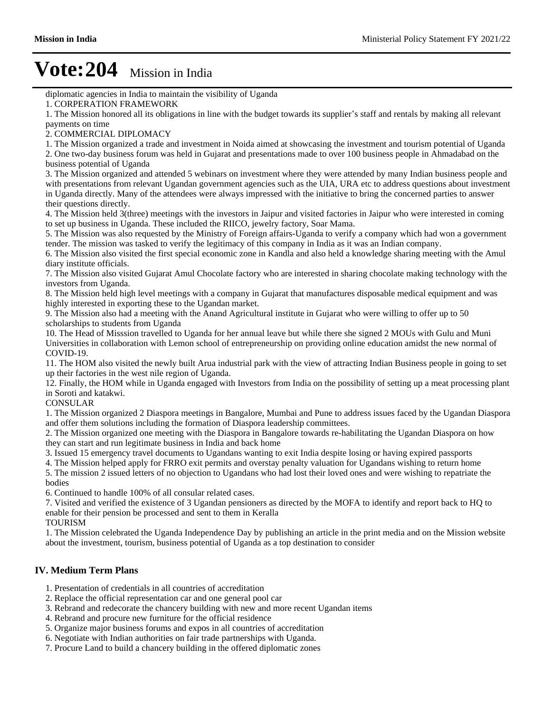diplomatic agencies in India to maintain the visibility of Uganda

1. The Mission honored all its obligations in line with the budget towards its supplier's staff and rentals by making all relevant payments on time

2. COMMERCIAL DIPLOMACY

1. The Mission organized a trade and investment in Noida aimed at showcasing the investment and tourism potential of Uganda

2. One two-day business forum was held in Gujarat and presentations made to over 100 business people in Ahmadabad on the business potential of Uganda

3. The Mission organized and attended 5 webinars on investment where they were attended by many Indian business people and with presentations from relevant Ugandan government agencies such as the UIA, URA etc to address questions about investment in Uganda directly. Many of the attendees were always impressed with the initiative to bring the concerned parties to answer their questions directly.

4. The Mission held 3(three) meetings with the investors in Jaipur and visited factories in Jaipur who were interested in coming to set up business in Uganda. These included the RIICO, jewelry factory, Soar Mama.

5. The Mission was also requested by the Ministry of Foreign affairs-Uganda to verify a company which had won a government tender. The mission was tasked to verify the legitimacy of this company in India as it was an Indian company.

6. The Mission also visited the first special economic zone in Kandla and also held a knowledge sharing meeting with the Amul diary institute officials.

7. The Mission also visited Gujarat Amul Chocolate factory who are interested in sharing chocolate making technology with the investors from Uganda.

8. The Mission held high level meetings with a company in Gujarat that manufactures disposable medical equipment and was highly interested in exporting these to the Ugandan market.

9. The Mission also had a meeting with the Anand Agricultural institute in Gujarat who were willing to offer up to 50 scholarships to students from Uganda

10. The Head of Misssion travelled to Uganda for her annual leave but while there she signed 2 MOUs with Gulu and Muni Universities in collaboration with Lemon school of entrepreneurship on providing online education amidst the new normal of COVID-19.

11. The HOM also visited the newly built Arua industrial park with the view of attracting Indian Business people in going to set up their factories in the west nile region of Uganda.

12. Finally, the HOM while in Uganda engaged with Investors from India on the possibility of setting up a meat processing plant in Soroti and katakwi.

CONSULAR

1. The Mission organized 2 Diaspora meetings in Bangalore, Mumbai and Pune to address issues faced by the Ugandan Diaspora and offer them solutions including the formation of Diaspora leadership committees.

2. The Mission organized one meeting with the Diaspora in Bangalore towards re-habilitating the Ugandan Diaspora on how they can start and run legitimate business in India and back home

3. Issued 15 emergency travel documents to Ugandans wanting to exit India despite losing or having expired passports

4. The Mission helped apply for FRRO exit permits and overstay penalty valuation for Ugandans wishing to return home

5. The mission 2 issued letters of no objection to Ugandans who had lost their loved ones and were wishing to repatriate the bodies

6. Continued to handle 100% of all consular related cases.

7. Visited and verified the existence of 3 Ugandan pensioners as directed by the MOFA to identify and report back to HQ to enable for their pension be processed and sent to them in Keralla

TOURISM

1. The Mission celebrated the Uganda Independence Day by publishing an article in the print media and on the Mission website about the investment, tourism, business potential of Uganda as a top destination to consider

### **IV. Medium Term Plans**

- 1. Presentation of credentials in all countries of accreditation
- 2. Replace the official representation car and one general pool car
- 3. Rebrand and redecorate the chancery building with new and more recent Ugandan items
- 4. Rebrand and procure new furniture for the official residence
- 5. Organize major business forums and expos in all countries of accreditation
- 6. Negotiate with Indian authorities on fair trade partnerships with Uganda.
- 7. Procure Land to build a chancery building in the offered diplomatic zones

<sup>1.</sup> CORPERATION FRAMEWORK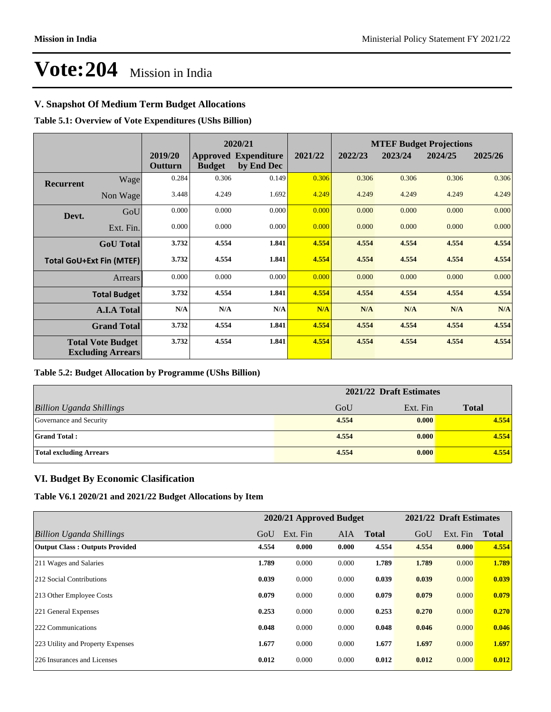## **V. Snapshot Of Medium Term Budget Allocations**

**Table 5.1: Overview of Vote Expenditures (UShs Billion)**

|                  |                                                      |                    |               | 2020/21                                   |         |         |         | <b>MTEF Budget Projections</b> |         |
|------------------|------------------------------------------------------|--------------------|---------------|-------------------------------------------|---------|---------|---------|--------------------------------|---------|
|                  |                                                      | 2019/20<br>Outturn | <b>Budget</b> | <b>Approved Expenditure</b><br>by End Dec | 2021/22 | 2022/23 | 2023/24 | 2024/25                        | 2025/26 |
| <b>Recurrent</b> | Wage                                                 | 0.284              | 0.306         | 0.149                                     | 0.306   | 0.306   | 0.306   | 0.306                          | 0.306   |
|                  | Non Wage                                             | 3.448              | 4.249         | 1.692                                     | 4.249   | 4.249   | 4.249   | 4.249                          | 4.249   |
| Devt.            | GoU                                                  | 0.000              | 0.000         | 0.000                                     | 0.000   | 0.000   | 0.000   | 0.000                          | 0.000   |
|                  | Ext. Fin.                                            | 0.000              | 0.000         | 0.000                                     | 0.000   | 0.000   | 0.000   | 0.000                          | 0.000   |
|                  | <b>GoU</b> Total                                     | 3.732              | 4.554         | 1.841                                     | 4.554   | 4.554   | 4.554   | 4.554                          | 4.554   |
|                  | <b>Total GoU+Ext Fin (MTEF)</b>                      | 3.732              | 4.554         | 1.841                                     | 4.554   | 4.554   | 4.554   | 4.554                          | 4.554   |
|                  | <b>Arrears</b>                                       | 0.000              | 0.000         | 0.000                                     | 0.000   | 0.000   | 0.000   | 0.000                          | 0.000   |
|                  | <b>Total Budget</b>                                  | 3.732              | 4.554         | 1.841                                     | 4.554   | 4.554   | 4.554   | 4.554                          | 4.554   |
|                  | <b>A.I.A Total</b>                                   | N/A                | N/A           | N/A                                       | N/A     | N/A     | N/A     | N/A                            | N/A     |
|                  | <b>Grand Total</b>                                   | 3.732              | 4.554         | 1.841                                     | 4.554   | 4.554   | 4.554   | 4.554                          | 4.554   |
|                  | <b>Total Vote Budget</b><br><b>Excluding Arrears</b> | 3.732              | 4.554         | 1.841                                     | 4.554   | 4.554   | 4.554   | 4.554                          | 4.554   |

### **Table 5.2: Budget Allocation by Programme (UShs Billion)**

|                                 | 2021/22 Draft Estimates |          |              |
|---------------------------------|-------------------------|----------|--------------|
| <b>Billion Uganda Shillings</b> | GoU                     | Ext. Fin | <b>Total</b> |
| Governance and Security         | 4.554                   | 0.000    | 4.554        |
| <b>Grand Total:</b>             | 4.554                   | 0.000    | 4.554        |
| <b>Total excluding Arrears</b>  | 4.554                   | 0.000    | 4.554        |

### **VI. Budget By Economic Clasification**

**Table V6.1 2020/21 and 2021/22 Budget Allocations by Item**

|                                       |       | 2020/21 Approved Budget |            |              |       | 2021/22 Draft Estimates |              |
|---------------------------------------|-------|-------------------------|------------|--------------|-------|-------------------------|--------------|
| Billion Uganda Shillings              | GoU   | Ext. Fin                | <b>AIA</b> | <b>Total</b> | GoU   | Ext. Fin                | <b>Total</b> |
| <b>Output Class: Outputs Provided</b> | 4.554 | 0.000                   | 0.000      | 4.554        | 4.554 | 0.000                   | 4.554        |
| 211 Wages and Salaries                | 1.789 | 0.000                   | 0.000      | 1.789        | 1.789 | 0.000                   | 1.789        |
| 212 Social Contributions              | 0.039 | 0.000                   | 0.000      | 0.039        | 0.039 | 0.000                   | 0.039        |
| 213 Other Employee Costs              | 0.079 | 0.000                   | 0.000      | 0.079        | 0.079 | 0.000                   | 0.079        |
| 221 General Expenses                  | 0.253 | 0.000                   | 0.000      | 0.253        | 0.270 | 0.000                   | 0.270        |
| 222 Communications                    | 0.048 | 0.000                   | 0.000      | 0.048        | 0.046 | 0.000                   | 0.046        |
| 223 Utility and Property Expenses     | 1.677 | 0.000                   | 0.000      | 1.677        | 1.697 | 0.000                   | 1.697        |
| 226 Insurances and Licenses           | 0.012 | 0.000                   | 0.000      | 0.012        | 0.012 | 0.000                   | 0.012        |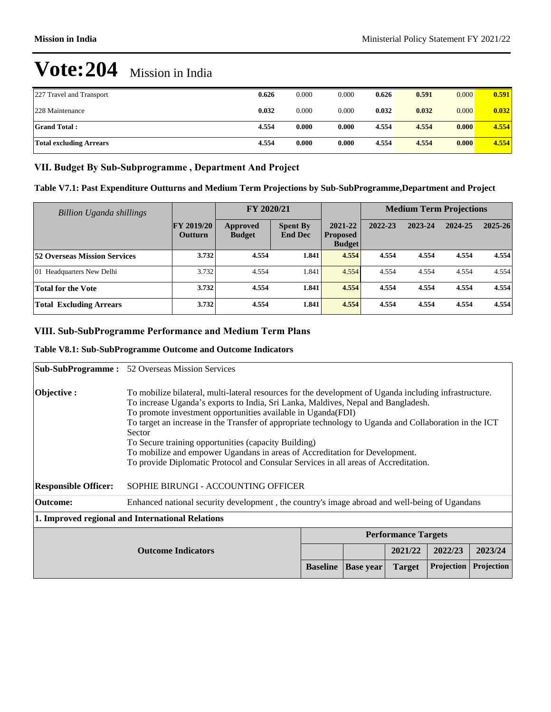| 227 Travel and Transport       | 0.626 | 0.000 | 0.000 | 0.626 | 0.591 | 0.000 | 0.591 |
|--------------------------------|-------|-------|-------|-------|-------|-------|-------|
| 228 Maintenance                | 0.032 | 0.000 | 0.000 | 0.032 | 0.032 | 0.000 | 0.032 |
| <b>Grand Total:</b>            | 4.554 | 0.000 | 0.000 | 4.554 | 4.554 | 0.000 | 4.554 |
| <b>Total excluding Arrears</b> | 4.554 | 0.000 | 0.000 | 4.554 | 4.554 | 0.000 | 4.554 |

### VII. Budget By Sub-Subprogramme, Department And Project

| Table V7.1: Past Expenditure Outturns and Medium Term Projections by Sub-SubProgramme, Department and Project |  |  |
|---------------------------------------------------------------------------------------------------------------|--|--|
|---------------------------------------------------------------------------------------------------------------|--|--|

| <b>Billion Uganda shillings</b>     |                                     | FY 2020/21                |                                   |                                             | <b>Medium Term Projections</b> |         |         |             |
|-------------------------------------|-------------------------------------|---------------------------|-----------------------------------|---------------------------------------------|--------------------------------|---------|---------|-------------|
|                                     | <b>FY 2019/20</b><br><b>Outturn</b> | Approved<br><b>Budget</b> | <b>Spent By</b><br><b>End Dec</b> | 2021-22<br><b>Proposed</b><br><b>Budget</b> | 2022-23                        | 2023-24 | 2024-25 | $2025 - 26$ |
| <b>52 Overseas Mission Services</b> | 3.732                               | 4.554                     | 1.841                             | 4.554                                       | 4.554                          | 4.554   | 4.554   | 4.554       |
| 01 Headquarters New Delhi           | 3.732                               | 4.554                     | 1.841                             | 4.554                                       | 4.554                          | 4.554   | 4.554   | 4.554       |
| <b>Total for the Vote</b>           | 3.732                               | 4.554                     | 1.841                             | 4.554                                       | 4.554                          | 4.554   | 4.554   | 4.554       |
| <b>Total Excluding Arrears</b>      | 3.732                               | 4.554                     | 1.841                             | 4.554                                       | 4.554                          | 4.554   | 4.554   | 4.554       |

## **VIII. Sub-SubProgramme Performance and Medium Term Plans**

### **Table V8.1: Sub-SubProgramme Outcome and Outcome Indicators**

|                             | <b>Sub-SubProgramme:</b> 52 Overseas Mission Services                                                                                                                                                                                                                                                                                                                                                                                                                                                                                                                                                         |                 |                  |                            |                   |                   |
|-----------------------------|---------------------------------------------------------------------------------------------------------------------------------------------------------------------------------------------------------------------------------------------------------------------------------------------------------------------------------------------------------------------------------------------------------------------------------------------------------------------------------------------------------------------------------------------------------------------------------------------------------------|-----------------|------------------|----------------------------|-------------------|-------------------|
| Objective :                 | To mobilize bilateral, multi-lateral resources for the development of Uganda including infrastructure.<br>To increase Uganda's exports to India, Sri Lanka, Maldives, Nepal and Bangladesh.<br>To promote investment opportunities available in Uganda(FDI)<br>To target an increase in the Transfer of appropriate technology to Uganda and Collaboration in the ICT<br>Sector<br>To Secure training opportunities (capacity Building)<br>To mobilize and empower Ugandans in areas of Accreditation for Development.<br>To provide Diplomatic Protocol and Consular Services in all areas of Accreditation. |                 |                  |                            |                   |                   |
| <b>Responsible Officer:</b> | SOPHIE BIRUNGI - ACCOUNTING OFFICER                                                                                                                                                                                                                                                                                                                                                                                                                                                                                                                                                                           |                 |                  |                            |                   |                   |
| Outcome:                    | Enhanced national security development, the country's image abroad and well-being of Ugandans                                                                                                                                                                                                                                                                                                                                                                                                                                                                                                                 |                 |                  |                            |                   |                   |
|                             | 1. Improved regional and International Relations                                                                                                                                                                                                                                                                                                                                                                                                                                                                                                                                                              |                 |                  |                            |                   |                   |
|                             |                                                                                                                                                                                                                                                                                                                                                                                                                                                                                                                                                                                                               |                 |                  | <b>Performance Targets</b> |                   |                   |
| <b>Outcome Indicators</b>   |                                                                                                                                                                                                                                                                                                                                                                                                                                                                                                                                                                                                               |                 |                  | 2021/22                    | 2022/23           | 2023/24           |
|                             |                                                                                                                                                                                                                                                                                                                                                                                                                                                                                                                                                                                                               | <b>Baseline</b> | <b>Base year</b> | <b>Target</b>              | <b>Projection</b> | <b>Projection</b> |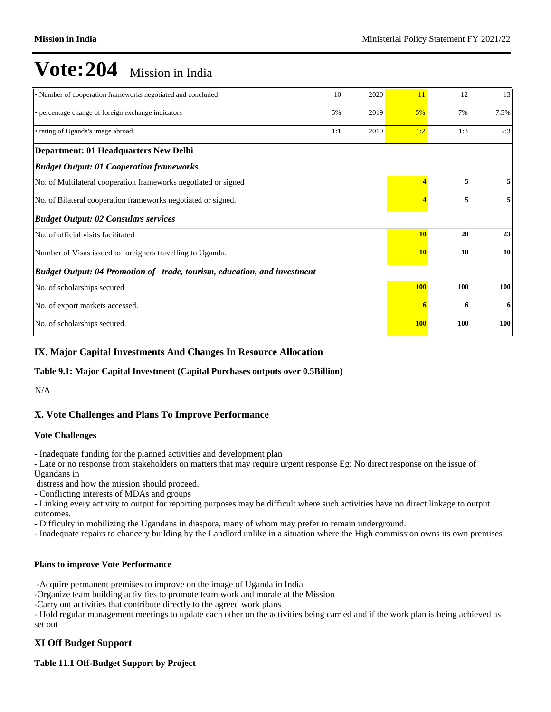| • Number of cooperation frameworks negotiated and concluded              | 10  | 2020 | 11                      | 12  | 13   |
|--------------------------------------------------------------------------|-----|------|-------------------------|-----|------|
| • percentage change of foreign exchange indicators                       | 5%  | 2019 | 5%                      | 7%  | 7.5% |
| • rating of Uganda's image abroad                                        | 1:1 | 2019 | 1:2                     | 1:3 | 2:3  |
| Department: 01 Headquarters New Delhi                                    |     |      |                         |     |      |
| <b>Budget Output: 01 Cooperation frameworks</b>                          |     |      |                         |     |      |
| No. of Multilateral cooperation frameworks negotiated or signed          |     |      | $\overline{\mathbf{4}}$ | 5   | 5    |
| No. of Bilateral cooperation frameworks negotiated or signed.            |     |      |                         | 5   | 5    |
| <b>Budget Output: 02 Consulars services</b>                              |     |      |                         |     |      |
| No. of official visits facilitated                                       |     |      | <b>10</b>               | 20  | 23   |
| Number of Visas issued to foreigners travelling to Uganda.               |     |      | <b>10</b>               | 10  | 10   |
| Budget Output: 04 Promotion of trade, tourism, education, and investment |     |      |                         |     |      |
| No. of scholarships secured                                              |     |      | <b>100</b>              | 100 | 100  |
| No. of export markets accessed.                                          |     |      |                         | 6   | 6    |
| No. of scholarships secured.                                             |     |      | <b>100</b>              | 100 | 100  |

### **IX. Major Capital Investments And Changes In Resource Allocation**

### **Table 9.1: Major Capital Investment (Capital Purchases outputs over 0.5Billion)**

N/A

## **X. Vote Challenges and Plans To Improve Performance**

### **Vote Challenges**

- Inadequate funding for the planned activities and development plan

- Late or no response from stakeholders on matters that may require urgent response Eg: No direct response on the issue of Ugandans in

distress and how the mission should proceed.

- Conflicting interests of MDAs and groups

- Linking every activity to output for reporting purposes may be difficult where such activities have no direct linkage to output outcomes.

- Difficulty in mobilizing the Ugandans in diaspora, many of whom may prefer to remain underground.

- Inadequate repairs to chancery building by the Landlord unlike in a situation where the High commission owns its own premises

### **Plans to improve Vote Performance**

-Acquire permanent premises to improve on the image of Uganda in India

-Organize team building activities to promote team work and morale at the Mission

-Carry out activities that contribute directly to the agreed work plans

- Hold regular management meetings to update each other on the activities being carried and if the work plan is being achieved as set out

### **XI Off Budget Support**

**Table 11.1 Off-Budget Support by Project**